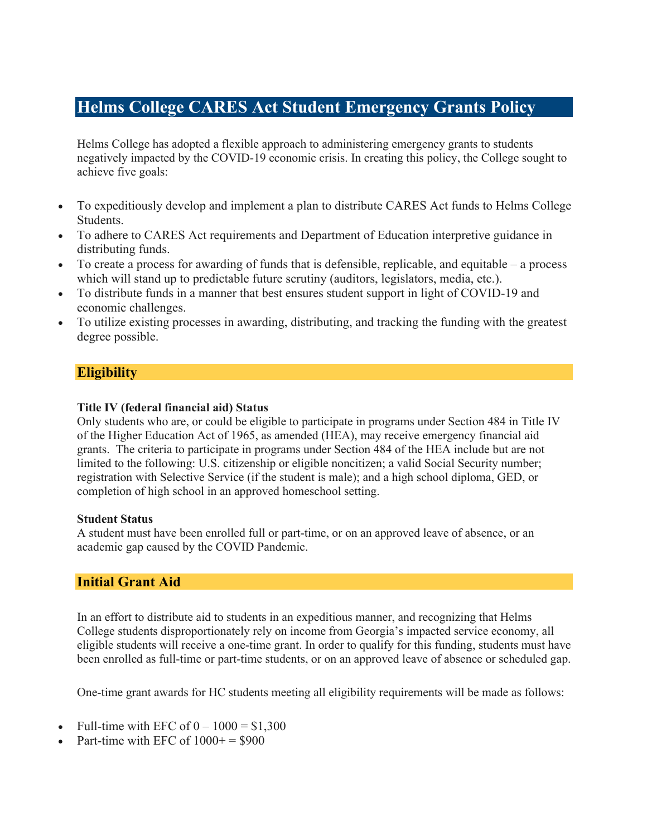# **Helms College CARES Act Student Emergency Grants Policy**

Helms College has adopted a flexible approach to administering emergency grants to students negatively impacted by the COVID-19 economic crisis. In creating this policy, the College sought to achieve five goals:

- To expeditiously develop and implement a plan to distribute CARES Act funds to Helms College Students.
- To adhere to CARES Act requirements and Department of Education interpretive guidance in distributing funds.
- To create a process for awarding of funds that is defensible, replicable, and equitable a process which will stand up to predictable future scrutiny (auditors, legislators, media, etc.).
- To distribute funds in a manner that best ensures student support in light of COVID-19 and economic challenges.
- To utilize existing processes in awarding, distributing, and tracking the funding with the greatest degree possible.

## **Eligibility**

### **Title IV (federal financial aid) Status**

Only students who are, or could be eligible to participate in programs under Section 484 in Title IV of the Higher Education Act of 1965, as amended (HEA), may receive emergency financial aid grants. The criteria to participate in programs under Section 484 of the HEA include but are not limited to the following: U.S. citizenship or eligible noncitizen; a valid Social Security number; registration with Selective Service (if the student is male); and a high school diploma, GED, or completion of high school in an approved homeschool setting.

#### **Student Status**

A student must have been enrolled full or part-time, or on an approved leave of absence, or an academic gap caused by the COVID Pandemic.

## **Initial Grant Aid**

In an effort to distribute aid to students in an expeditious manner, and recognizing that Helms College students disproportionately rely on income from Georgia's impacted service economy, all eligible students will receive a one-time grant. In order to qualify for this funding, students must have been enrolled as full-time or part-time students, or on an approved leave of absence or scheduled gap.

One-time grant awards for HC students meeting all eligibility requirements will be made as follows:

- Full-time with EFC of  $0 1000 = $1,300$
- Part-time with EFC of  $1000+=\$900$